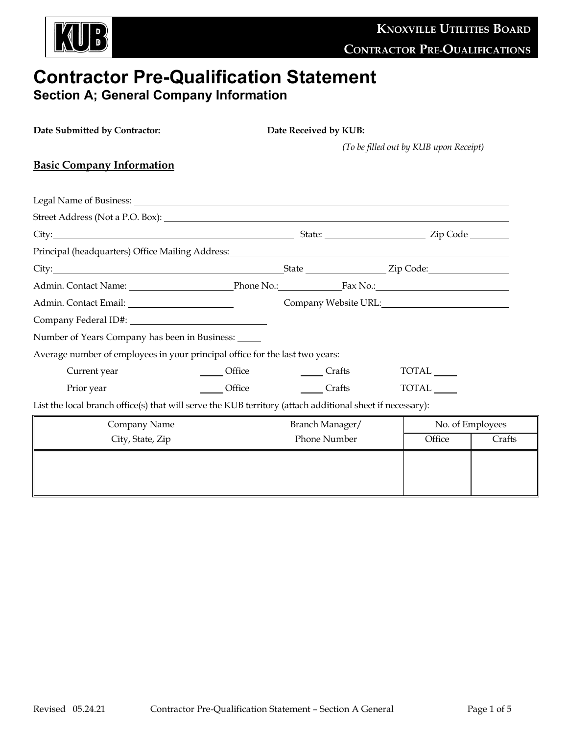

# **Contractor Pre-Qualification Statement**

**Section A; General Company Information**

| Date Submitted by Contractor:<br><u>Lettical</u><br>Date Received by KUB:                                                                                                                                                                |        |                                        |              |  |                  |        |  |
|------------------------------------------------------------------------------------------------------------------------------------------------------------------------------------------------------------------------------------------|--------|----------------------------------------|--------------|--|------------------|--------|--|
|                                                                                                                                                                                                                                          |        | (To be filled out by KUB upon Receipt) |              |  |                  |        |  |
| <b>Basic Company Information</b>                                                                                                                                                                                                         |        |                                        |              |  |                  |        |  |
|                                                                                                                                                                                                                                          |        |                                        |              |  |                  |        |  |
|                                                                                                                                                                                                                                          |        |                                        |              |  |                  |        |  |
|                                                                                                                                                                                                                                          |        |                                        |              |  |                  |        |  |
| City: <u>City:</u> City: <u>City:</u> City: City: City: City: City: City: City: City: City: City: City: City: City: City: City: City: City: City: City: City: City: City: City: City: City: City: City: City: City: City: City: City: Ci |        |                                        |              |  |                  |        |  |
| Principal (headquarters) Office Mailing Address: Manual Community of the Mail of the Mailing Address:                                                                                                                                    |        |                                        |              |  |                  |        |  |
|                                                                                                                                                                                                                                          |        |                                        |              |  |                  |        |  |
|                                                                                                                                                                                                                                          |        |                                        |              |  |                  |        |  |
| Company Website URL: New York Company Website URL:                                                                                                                                                                                       |        |                                        |              |  |                  |        |  |
| Company Federal ID#: Note that the set of the set of the set of the set of the set of the set of the set of the set of the set of the set of the set of the set of the set of the set of the set of the set of the set of the            |        |                                        |              |  |                  |        |  |
| Number of Years Company has been in Business: _____                                                                                                                                                                                      |        |                                        |              |  |                  |        |  |
| Average number of employees in your principal office for the last two years:                                                                                                                                                             |        |                                        |              |  |                  |        |  |
| Current year                                                                                                                                                                                                                             | Office |                                        | Crafts       |  | TOTAL            |        |  |
| Prior year                                                                                                                                                                                                                               | Office |                                        | Crafts       |  | TOTAL            |        |  |
| List the local branch office(s) that will serve the KUB territory (attach additional sheet if necessary):                                                                                                                                |        |                                        |              |  |                  |        |  |
| Company Name                                                                                                                                                                                                                             |        | Branch Manager/                        |              |  | No. of Employees |        |  |
| City, State, Zip                                                                                                                                                                                                                         |        |                                        | Phone Number |  | Office           | Crafts |  |
|                                                                                                                                                                                                                                          |        |                                        |              |  |                  |        |  |
|                                                                                                                                                                                                                                          |        |                                        |              |  |                  |        |  |
|                                                                                                                                                                                                                                          |        |                                        |              |  |                  |        |  |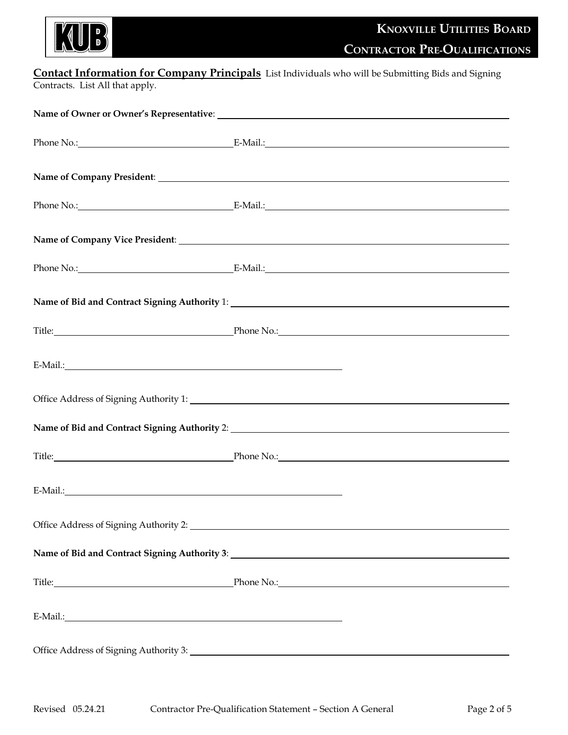

## **Contact Information for Company Principals** List Individuals who will be Submitting Bids and Signing

Contracts. List All that apply.

|                                              | Phone No.: E-Mail.: E-Mail.:                         |
|----------------------------------------------|------------------------------------------------------|
|                                              |                                                      |
|                                              |                                                      |
|                                              |                                                      |
|                                              |                                                      |
|                                              |                                                      |
|                                              | Title: Phone No.: Phone No.:                         |
|                                              |                                                      |
|                                              |                                                      |
|                                              |                                                      |
|                                              | Title: Phone No.: Phone No.:                         |
|                                              |                                                      |
|                                              |                                                      |
|                                              |                                                      |
|                                              | Title: <u>Phone No.:</u> Phone No.: Phone No.: 2008. |
| E-Mail.: National Communication of the Mail: |                                                      |
|                                              |                                                      |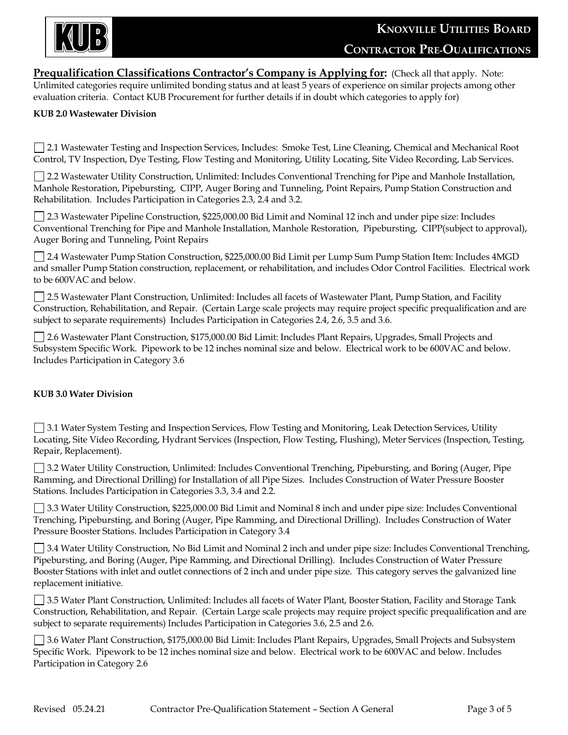

**Prequalification Classifications Contractor's Company is Applying for:** (Check all that apply. Note: Unlimited categories require unlimited bonding status and at least 5 years of experience on similar projects among other evaluation criteria. Contact KUB Procurement for further details if in doubt which categories to apply for)

#### **KUB 2.0 Wastewater Division**

2.1 Wastewater Testing and Inspection Services, Includes: Smoke Test, Line Cleaning, Chemical and Mechanical Root Control, TV Inspection, Dye Testing, Flow Testing and Monitoring, Utility Locating, Site Video Recording, Lab Services.

2.2 Wastewater Utility Construction, Unlimited: Includes Conventional Trenching for Pipe and Manhole Installation, Manhole Restoration, Pipebursting, CIPP, Auger Boring and Tunneling, Point Repairs, Pump Station Construction and Rehabilitation. Includes Participation in Categories 2.3, 2.4 and 3.2.

2.3 Wastewater Pipeline Construction, \$225,000.00 Bid Limit and Nominal 12 inch and under pipe size: Includes Conventional Trenching for Pipe and Manhole Installation, Manhole Restoration, Pipebursting, CIPP(subject to approval), Auger Boring and Tunneling, Point Repairs

2.4 Wastewater Pump Station Construction, \$225,000.00 Bid Limit per Lump Sum Pump Station Item: Includes 4MGD and smaller Pump Station construction, replacement, or rehabilitation, and includes Odor Control Facilities. Electrical work to be 600VAC and below.

2.5 Wastewater Plant Construction, Unlimited: Includes all facets of Wastewater Plant, Pump Station, and Facility Construction, Rehabilitation, and Repair. (Certain Large scale projects may require project specific prequalification and are subject to separate requirements) Includes Participation in Categories 2.4, 2.6, 3.5 and 3.6.

2.6 Wastewater Plant Construction, \$175,000.00 Bid Limit: Includes Plant Repairs, Upgrades, Small Projects and Subsystem Specific Work. Pipework to be 12 inches nominal size and below. Electrical work to be 600VAC and below. Includes Participation in Category 3.6

#### **KUB 3.0 Water Division**

3.1 Water System Testing and Inspection Services, Flow Testing and Monitoring, Leak Detection Services, Utility Locating, Site Video Recording, Hydrant Services (Inspection, Flow Testing, Flushing), Meter Services (Inspection, Testing, Repair, Replacement).

3.2 Water Utility Construction, Unlimited: Includes Conventional Trenching, Pipebursting, and Boring (Auger, Pipe Ramming, and Directional Drilling) for Installation of all Pipe Sizes. Includes Construction of Water Pressure Booster Stations. Includes Participation in Categories 3.3, 3.4 and 2.2.

3.3 Water Utility Construction, \$225,000.00 Bid Limit and Nominal 8 inch and under pipe size: Includes Conventional Trenching, Pipebursting, and Boring (Auger, Pipe Ramming, and Directional Drilling). Includes Construction of Water Pressure Booster Stations. Includes Participation in Category 3.4

3.4 Water Utility Construction, No Bid Limit and Nominal 2 inch and under pipe size: Includes Conventional Trenching, Pipebursting, and Boring (Auger, Pipe Ramming, and Directional Drilling). Includes Construction of Water Pressure Booster Stations with inlet and outlet connections of 2 inch and under pipe size. This category serves the galvanized line replacement initiative.

3.5 Water Plant Construction, Unlimited: Includes all facets of Water Plant, Booster Station, Facility and Storage Tank Construction, Rehabilitation, and Repair. (Certain Large scale projects may require project specific prequalification and are subject to separate requirements) Includes Participation in Categories 3.6, 2.5 and 2.6.

3.6 Water Plant Construction, \$175,000.00 Bid Limit: Includes Plant Repairs, Upgrades, Small Projects and Subsystem Specific Work. Pipework to be 12 inches nominal size and below. Electrical work to be 600VAC and below. Includes Participation in Category 2.6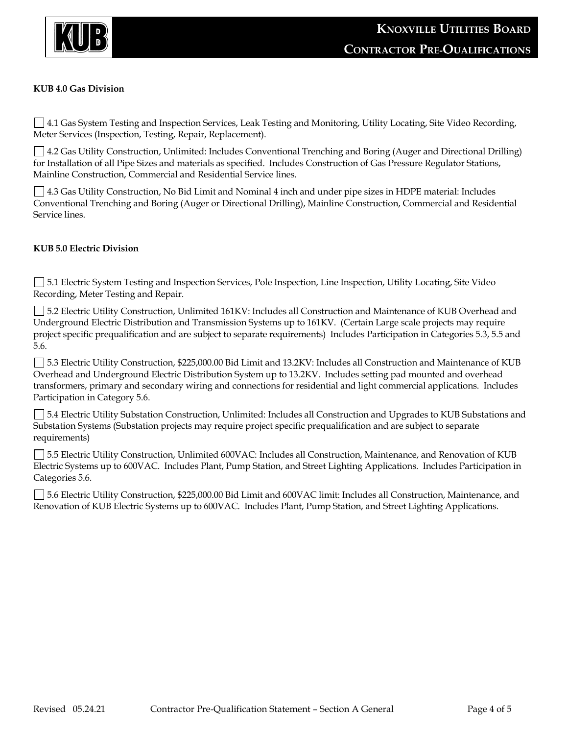

#### **KUB 4.0 Gas Division**

4.1 Gas System Testing and Inspection Services, Leak Testing and Monitoring, Utility Locating, Site Video Recording, Meter Services (Inspection, Testing, Repair, Replacement).

4.2 Gas Utility Construction, Unlimited: Includes Conventional Trenching and Boring (Auger and Directional Drilling) for Installation of all Pipe Sizes and materials as specified. Includes Construction of Gas Pressure Regulator Stations, Mainline Construction, Commercial and Residential Service lines.

4.3 Gas Utility Construction, No Bid Limit and Nominal 4 inch and under pipe sizes in HDPE material: Includes Conventional Trenching and Boring (Auger or Directional Drilling), Mainline Construction, Commercial and Residential Service lines.

#### **KUB 5.0 Electric Division**

5.1 Electric System Testing and Inspection Services, Pole Inspection, Line Inspection, Utility Locating, Site Video Recording, Meter Testing and Repair.

5.2 Electric Utility Construction, Unlimited 161KV: Includes all Construction and Maintenance of KUB Overhead and Underground Electric Distribution and Transmission Systems up to 161KV. (Certain Large scale projects may require project specific prequalification and are subject to separate requirements) Includes Participation in Categories 5.3, 5.5 and 5.6.

5.3 Electric Utility Construction, \$225,000.00 Bid Limit and 13.2KV: Includes all Construction and Maintenance of KUB Overhead and Underground Electric Distribution System up to 13.2KV. Includes setting pad mounted and overhead transformers, primary and secondary wiring and connections for residential and light commercial applications. Includes Participation in Category 5.6.

5.4 Electric Utility Substation Construction, Unlimited: Includes all Construction and Upgrades to KUB Substations and Substation Systems (Substation projects may require project specific prequalification and are subject to separate requirements)

5.5 Electric Utility Construction, Unlimited 600VAC: Includes all Construction, Maintenance, and Renovation of KUB Electric Systems up to 600VAC. Includes Plant, Pump Station, and Street Lighting Applications. Includes Participation in Categories 5.6.

5.6 Electric Utility Construction, \$225,000.00 Bid Limit and 600VAC limit: Includes all Construction, Maintenance, and Renovation of KUB Electric Systems up to 600VAC. Includes Plant, Pump Station, and Street Lighting Applications.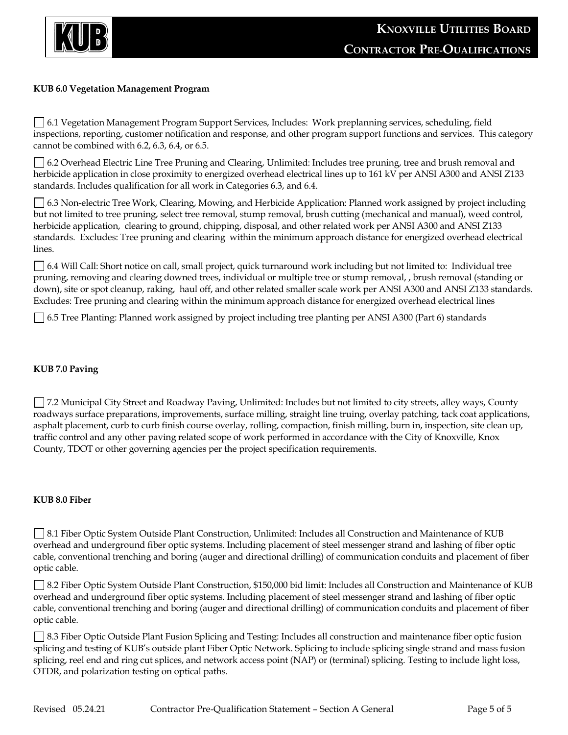

#### **KUB 6.0 Vegetation Management Program**

 6.1 Vegetation Management Program Support Services, Includes: Work preplanning services, scheduling, field inspections, reporting, customer notification and response, and other program support functions and services. This category cannot be combined with 6.2, 6.3, 6.4, or 6.5.

 6.2 Overhead Electric Line Tree Pruning and Clearing, Unlimited: Includes tree pruning, tree and brush removal and herbicide application in close proximity to energized overhead electrical lines up to 161 kV per ANSI A300 and ANSI Z133 standards. Includes qualification for all work in Categories 6.3, and 6.4.

 6.3 Non-electric Tree Work, Clearing, Mowing, and Herbicide Application: Planned work assigned by project including but not limited to tree pruning, select tree removal, stump removal, brush cutting (mechanical and manual), weed control, herbicide application, clearing to ground, chipping, disposal, and other related work per ANSI A300 and ANSI Z133 standards. Excludes: Tree pruning and clearing within the minimum approach distance for energized overhead electrical lines.

 6.4 Will Call: Short notice on call, small project, quick turnaround work including but not limited to: Individual tree pruning, removing and clearing downed trees, individual or multiple tree or stump removal, , brush removal (standing or down), site or spot cleanup, raking, haul off, and other related smaller scale work per ANSI A300 and ANSI Z133 standards. Excludes: Tree pruning and clearing within the minimum approach distance for energized overhead electrical lines

6.5 Tree Planting: Planned work assigned by project including tree planting per ANSI A300 (Part 6) standards

#### **KUB 7.0 Paving**

7.2 Municipal City Street and Roadway Paving, Unlimited: Includes but not limited to city streets, alley ways, County roadways surface preparations, improvements, surface milling, straight line truing, overlay patching, tack coat applications, asphalt placement, curb to curb finish course overlay, rolling, compaction, finish milling, burn in, inspection, site clean up, traffic control and any other paving related scope of work performed in accordance with the City of Knoxville, Knox County, TDOT or other governing agencies per the project specification requirements.

#### **KUB 8.0 Fiber**

8.1 Fiber Optic System Outside Plant Construction, Unlimited: Includes all Construction and Maintenance of KUB overhead and underground fiber optic systems. Including placement of steel messenger strand and lashing of fiber optic cable, conventional trenching and boring (auger and directional drilling) of communication conduits and placement of fiber optic cable.

8.2 Fiber Optic System Outside Plant Construction, \$150,000 bid limit: Includes all Construction and Maintenance of KUB overhead and underground fiber optic systems. Including placement of steel messenger strand and lashing of fiber optic cable, conventional trenching and boring (auger and directional drilling) of communication conduits and placement of fiber optic cable.

8.3 Fiber Optic Outside Plant Fusion Splicing and Testing: Includes all construction and maintenance fiber optic fusion splicing and testing of KUB's outside plant Fiber Optic Network. Splicing to include splicing single strand and mass fusion splicing, reel end and ring cut splices, and network access point (NAP) or (terminal) splicing. Testing to include light loss, OTDR, and polarization testing on optical paths.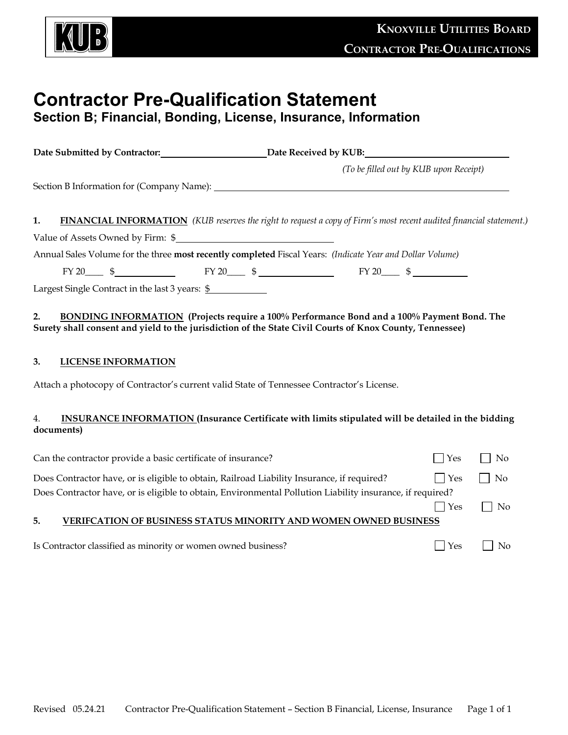

## **Contractor Pre-Qualification Statement**

### **Section B; Financial, Bonding, License, Insurance, Information**

|                                                                                                           | Date Submitted by Contractor:___________________________Date Received by KUB:_______________________                       |  |  |  |  |
|-----------------------------------------------------------------------------------------------------------|----------------------------------------------------------------------------------------------------------------------------|--|--|--|--|
|                                                                                                           | (To be filled out by KUB upon Receipt)                                                                                     |  |  |  |  |
|                                                                                                           |                                                                                                                            |  |  |  |  |
|                                                                                                           |                                                                                                                            |  |  |  |  |
| 1.                                                                                                        | <b>FINANCIAL INFORMATION</b> (KUB reserves the right to request a copy of Firm's most recent audited financial statement.) |  |  |  |  |
| Value of Assets Owned by Firm: \$                                                                         |                                                                                                                            |  |  |  |  |
| Annual Sales Volume for the three most recently completed Fiscal Years: (Indicate Year and Dollar Volume) |                                                                                                                            |  |  |  |  |
| $FY 20$ \$                                                                                                |                                                                                                                            |  |  |  |  |
| Largest Single Contract in the last 3 years: $\frac{6}{9}$                                                |                                                                                                                            |  |  |  |  |

#### **2. BONDING INFORMATION (Projects require a 100% Performance Bond and a 100% Payment Bond. The Surety shall consent and yield to the jurisdiction of the State Civil Courts of Knox County, Tennessee)**

#### **3. LICENSE INFORMATION**

Attach a photocopy of Contractor's current valid State of Tennessee Contractor's License.

#### 4. **INSURANCE INFORMATION (Insurance Certificate with limits stipulated will be detailed in the bidding documents)**

| Can the contractor provide a basic certificate of insurance?                                              | $\Box$ Yes   | No                          |
|-----------------------------------------------------------------------------------------------------------|--------------|-----------------------------|
| Does Contractor have, or is eligible to obtain, Railroad Liability Insurance, if required?                | $ $ Yes      | $\overline{\phantom{a}}$ No |
| Does Contractor have, or is eligible to obtain, Environmental Pollution Liability insurance, if required? |              |                             |
|                                                                                                           | $\Box$ Yes   | $\Box$ No                   |
| VERIFCATION OF BUSINESS STATUS MINORITY AND WOMEN OWNED BUSINESS<br>5.                                    |              |                             |
|                                                                                                           |              |                             |
| Is Contractor classified as minority or women owned business?                                             | $Y_{\rm PS}$ | No.                         |